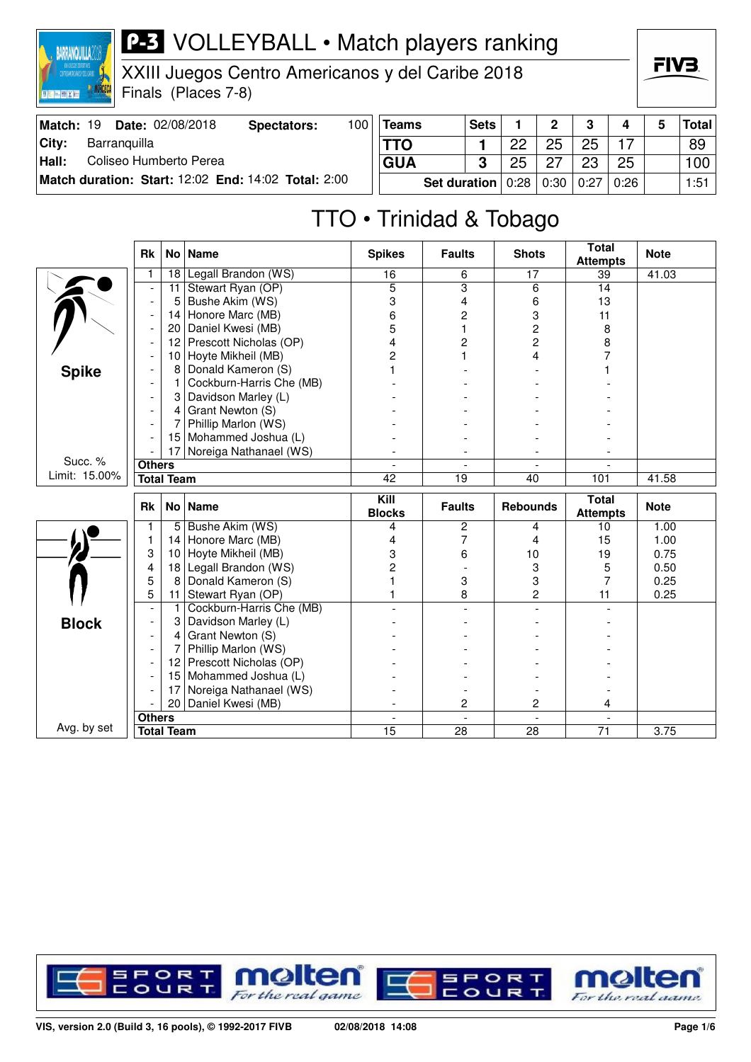

XXIII Juegos Centro Americanos y del Caribe 2018

Finals (Places 7-8)

| Match: 19 | <b>Date: 02/08/2018</b>                             | Spectators: | 100 | <b>Teams</b> | <b>Sets</b> |      | າ    | 3    |      | 5 | <b>Total</b> |
|-----------|-----------------------------------------------------|-------------|-----|--------------|-------------|------|------|------|------|---|--------------|
| City:     | Barranguilla                                        |             |     | <b>TTO</b>   |             | 22   | 25   | 25   |      |   | 89           |
| Hall:     | Coliseo Humberto Perea                              |             |     | <b>GUA</b>   | າ           | 25   |      | 23   | 25   |   | 100          |
|           | Match duration: Start: 12:02 End: 14:02 Total: 2:00 |             |     | Set duration |             | 0:28 | 0:30 | 0:27 | 0:26 |   | 1:51         |

# TTO • Trinidad & Tobago

|               | <b>Rk</b>                          | No <sub>1</sub> | <b>Name</b>              | <b>Spikes</b>         | <b>Faults</b>           | <b>Shots</b>         | <b>Total</b><br><b>Attempts</b> | <b>Note</b> |
|---------------|------------------------------------|-----------------|--------------------------|-----------------------|-------------------------|----------------------|---------------------------------|-------------|
|               | 1                                  | 18              | Legall Brandon (WS)      | 16                    | 6                       | 17                   | 39                              | 41.03       |
|               |                                    | 11              | Stewart Ryan (OP)        | 5                     | $\overline{\mathbf{3}}$ | 6                    | 14                              |             |
|               |                                    | 5               | Bushe Akim (WS)          | 3                     | 4                       | 6                    | 13                              |             |
|               |                                    | 14              | Honore Marc (MB)         | 6                     | 2                       | 3                    | 11                              |             |
|               |                                    | 20              | Daniel Kwesi (MB)        | 5                     | 1                       | $\overline{c}$       | 8                               |             |
|               |                                    | 12              | Prescott Nicholas (OP)   | 4                     | 2                       | 2                    | 8                               |             |
|               |                                    | 10              | Hoyte Mikheil (MB)       | 2                     | 1                       | 4                    |                                 |             |
| <b>Spike</b>  |                                    | 8               | Donald Kameron (S)       |                       |                         |                      |                                 |             |
|               |                                    | 1               | Cockburn-Harris Che (MB) |                       |                         |                      |                                 |             |
|               |                                    | 3               | Davidson Marley (L)      |                       |                         |                      |                                 |             |
|               |                                    | 4               | Grant Newton (S)         |                       |                         |                      |                                 |             |
|               |                                    | 7               | Phillip Marlon (WS)      |                       |                         |                      |                                 |             |
|               |                                    | 15              | Mohammed Joshua (L)      |                       |                         |                      |                                 |             |
|               |                                    | 17              | Noreiga Nathanael (WS)   |                       |                         |                      |                                 |             |
| Succ. %       | <b>Others</b>                      |                 |                          |                       |                         |                      |                                 |             |
| Limit: 15.00% | <b>Total Team</b>                  |                 |                          | 42                    | 19                      | 40                   | 101                             | 41.58       |
|               |                                    |                 |                          |                       |                         |                      |                                 |             |
|               | <b>Rk</b>                          | No <sub>1</sub> | <b>Name</b>              | Kill<br><b>Blocks</b> | <b>Faults</b>           | <b>Rebounds</b>      | <b>Total</b><br><b>Attempts</b> | <b>Note</b> |
|               | 1                                  | 5               | Bushe Akim (WS)          | 4                     | 2                       | 4                    | 10                              | 1.00        |
|               | 1                                  | 14              | Honore Marc (MB)         | 4                     | 7                       | 4                    | 15                              | 1.00        |
|               | 3                                  | 10              | Hoyte Mikheil (MB)       | 3                     | 6                       | 10                   | 19                              | 0.75        |
|               | 4                                  | 18              | Legall Brandon (WS)      | $\overline{2}$        |                         | 3                    | 5                               | 0.50        |
|               | 5                                  | 8               | Donald Kameron (S)       |                       | 3                       | 3                    | 7                               | 0.25        |
|               | 5                                  | 11              | Stewart Ryan (OP)        |                       | 8                       | $\overline{c}$       | 11                              | 0.25        |
|               | $\overline{a}$                     | $\mathbf{1}$    | Cockburn-Harris Che (MB) |                       |                         |                      |                                 |             |
|               |                                    | 3               | Davidson Marley (L)      |                       |                         |                      |                                 |             |
| <b>Block</b>  |                                    | 4               | Grant Newton (S)         |                       |                         |                      |                                 |             |
|               | $\overline{\phantom{a}}$           | 7               | Phillip Marlon (WS)      |                       |                         |                      |                                 |             |
|               |                                    | 12 <sub>2</sub> | Prescott Nicholas (OP)   |                       |                         |                      |                                 |             |
|               |                                    | 15              | Mohammed Joshua (L)      |                       |                         |                      |                                 |             |
|               |                                    | 17              | Noreiga Nathanael (WS)   |                       |                         |                      |                                 |             |
|               |                                    | 20              | Daniel Kwesi (MB)        |                       | 2                       | $\overline{c}$       | 4                               |             |
| Avg. by set   | <b>Others</b><br><b>Total Team</b> |                 |                          | $\overline{a}$<br>15  | $\overline{a}$<br>28    | $\overline{a}$<br>28 | $\overline{a}$<br>71            | 3.75        |



FIV<sub>3</sub>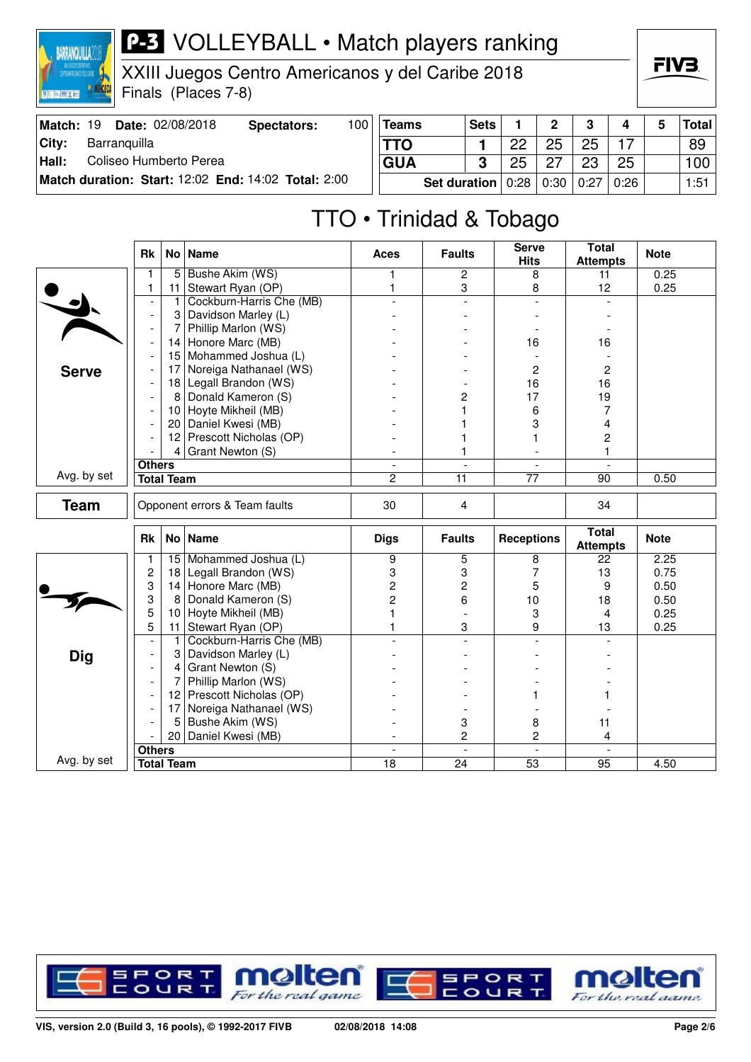

XXIII Juegos Centro Americanos y del Caribe 2018

Finals (Places 7-8)

| Match: 19 | Date: 02/08/2018                                    | Spectators: | 100 | <b>Teams</b> | <b>Sets</b>  |            | ∩    | 3    | 4    | 5 | Total |
|-----------|-----------------------------------------------------|-------------|-----|--------------|--------------|------------|------|------|------|---|-------|
| City:     | Barranguilla                                        |             |     | <b>TTO</b>   |              | つつ         | 25   | 25   |      |   | 89    |
| Hall:     | Coliseo Humberto Perea                              |             |     | <b>GUA</b>   | ≏            | 25         |      | 23   | 25   |   | 100   |
|           | Match duration: Start: 12:02 End: 14:02 Total: 2:00 |             |     |              | Set duration | $\pm 0.28$ | 0:30 | 0:27 | 0:26 |   | 1:51  |

# TTO • Trinidad & Tobago

|              | Rk                                                                                                                                                                                                                                                                                                                                                                                                                                          |                   | No   Name                 | <b>Aces</b>              | <b>Faults</b>            | <b>Serve</b><br><b>Hits</b> | <b>Total</b><br><b>Attempts</b> | <b>Note</b> |
|--------------|---------------------------------------------------------------------------------------------------------------------------------------------------------------------------------------------------------------------------------------------------------------------------------------------------------------------------------------------------------------------------------------------------------------------------------------------|-------------------|---------------------------|--------------------------|--------------------------|-----------------------------|---------------------------------|-------------|
|              |                                                                                                                                                                                                                                                                                                                                                                                                                                             | 5                 | Bushe Akim (WS)           | 1                        | $\overline{c}$           | 8                           | 11                              | 0.25        |
|              | 1                                                                                                                                                                                                                                                                                                                                                                                                                                           | 11                | Stewart Ryan (OP)         | $\mathbf{1}$             | 3                        | 8                           | 12                              | 0.25        |
|              |                                                                                                                                                                                                                                                                                                                                                                                                                                             | $\mathbf{1}$      | Cockburn-Harris Che (MB)  |                          |                          | $\overline{a}$              |                                 |             |
|              | $\blacksquare$                                                                                                                                                                                                                                                                                                                                                                                                                              | 3                 | Davidson Marley (L)       |                          |                          |                             |                                 |             |
|              | $\overline{a}$                                                                                                                                                                                                                                                                                                                                                                                                                              | 7                 | Phillip Marlon (WS)       |                          |                          |                             |                                 |             |
|              |                                                                                                                                                                                                                                                                                                                                                                                                                                             | 14                | Honore Marc (MB)          |                          |                          | 16                          | 16                              |             |
|              |                                                                                                                                                                                                                                                                                                                                                                                                                                             | 15                | Mohammed Joshua (L)       |                          |                          |                             |                                 |             |
| <b>Serve</b> |                                                                                                                                                                                                                                                                                                                                                                                                                                             | 17                | Noreiga Nathanael (WS)    |                          |                          | $\overline{c}$              | $\overline{c}$                  |             |
|              |                                                                                                                                                                                                                                                                                                                                                                                                                                             | 18                | Legall Brandon (WS)       |                          |                          | 16                          | 16                              |             |
|              |                                                                                                                                                                                                                                                                                                                                                                                                                                             | 8                 | Donald Kameron (S)        |                          | 2                        | 17                          | 19                              |             |
|              |                                                                                                                                                                                                                                                                                                                                                                                                                                             |                   | 10 Hoyte Mikheil (MB)     |                          | 1                        | 6                           | 7                               |             |
|              |                                                                                                                                                                                                                                                                                                                                                                                                                                             | 20 <sub>1</sub>   | Daniel Kwesi (MB)         |                          | 1                        | 3                           | 4                               |             |
|              |                                                                                                                                                                                                                                                                                                                                                                                                                                             |                   | 12 Prescott Nicholas (OP) |                          | 1                        | 1                           | $\overline{c}$                  |             |
|              |                                                                                                                                                                                                                                                                                                                                                                                                                                             |                   | 4 Grant Newton $(S)$      |                          | 1                        | $\overline{a}$              | 1                               |             |
|              | <b>Others</b>                                                                                                                                                                                                                                                                                                                                                                                                                               |                   |                           | $\overline{\phantom{a}}$ | $\overline{\phantom{a}}$ | $\overline{\phantom{a}}$    | $\blacksquare$                  |             |
| Avg. by set  |                                                                                                                                                                                                                                                                                                                                                                                                                                             | <b>Total Team</b> |                           | $\overline{c}$           | 11                       | 77                          | 90                              | 0.50        |
| <b>Team</b>  |                                                                                                                                                                                                                                                                                                                                                                                                                                             |                   |                           | 30                       | 4                        |                             | 34                              |             |
|              | Rk                                                                                                                                                                                                                                                                                                                                                                                                                                          |                   |                           | <b>Digs</b>              | <b>Faults</b>            | <b>Receptions</b>           | <b>Total</b><br><b>Attempts</b> | <b>Note</b> |
|              | 1                                                                                                                                                                                                                                                                                                                                                                                                                                           |                   |                           | 9                        | 5                        | 8                           | 22                              | 2.25        |
|              |                                                                                                                                                                                                                                                                                                                                                                                                                                             | 18                |                           | 3                        | 3                        | 7                           | 13                              | 0.75        |
|              |                                                                                                                                                                                                                                                                                                                                                                                                                                             |                   |                           | $\overline{c}$           | $\overline{\mathbf{c}}$  | 5                           | 9                               | 0.50        |
|              | 3                                                                                                                                                                                                                                                                                                                                                                                                                                           | 8                 |                           | 2                        | 6                        | 10                          | 18                              | 0.50        |
|              |                                                                                                                                                                                                                                                                                                                                                                                                                                             | 10                |                           |                          |                          | 3                           | 4                               | 0.25        |
|              |                                                                                                                                                                                                                                                                                                                                                                                                                                             | 11                |                           |                          | 3                        | 9                           | 13                              | 0.25        |
|              | $\overline{a}$                                                                                                                                                                                                                                                                                                                                                                                                                              | $\mathbf{1}$      |                           |                          | $\overline{a}$           | $\overline{a}$              |                                 |             |
| <b>Dig</b>   |                                                                                                                                                                                                                                                                                                                                                                                                                                             | 3                 |                           |                          |                          |                             |                                 |             |
|              |                                                                                                                                                                                                                                                                                                                                                                                                                                             | 4                 |                           |                          |                          |                             |                                 |             |
|              |                                                                                                                                                                                                                                                                                                                                                                                                                                             | 7                 |                           |                          |                          |                             |                                 |             |
|              |                                                                                                                                                                                                                                                                                                                                                                                                                                             |                   |                           |                          |                          |                             |                                 |             |
|              |                                                                                                                                                                                                                                                                                                                                                                                                                                             | 17                |                           |                          |                          |                             |                                 |             |
|              |                                                                                                                                                                                                                                                                                                                                                                                                                                             | 5                 | Bushe Akim (WS)           |                          | 3                        | 8                           | 11                              |             |
|              |                                                                                                                                                                                                                                                                                                                                                                                                                                             |                   | Daniel Kwesi (MB)         |                          | $\overline{c}$           | $\overline{c}$              | 4                               |             |
|              |                                                                                                                                                                                                                                                                                                                                                                                                                                             |                   |                           | $\blacksquare$           | $\blacksquare$           | $\blacksquare$              | $\mathbf{r}$                    |             |
| Avg. by set  | Opponent errors & Team faults<br>No   Name<br>Mohammed Joshua (L)<br>15<br>$\overline{c}$<br>Legall Brandon (WS)<br>3<br>Honore Marc (MB)<br>14<br>Donald Kameron (S)<br>5<br>Hoyte Mikheil (MB)<br>5<br>Stewart Ryan (OP)<br>Cockburn-Harris Che (MB)<br>Davidson Marley (L)<br>Grant Newton (S)<br>Phillip Marlon (WS)<br>Prescott Nicholas (OP)<br>12<br>Noreiga Nathanael (WS)<br>20 <sup>1</sup><br><b>Others</b><br><b>Total Team</b> |                   | 18                        | 24                       | $\overline{53}$          | 95                          | 4.50                            |             |



FIV<sub>3</sub>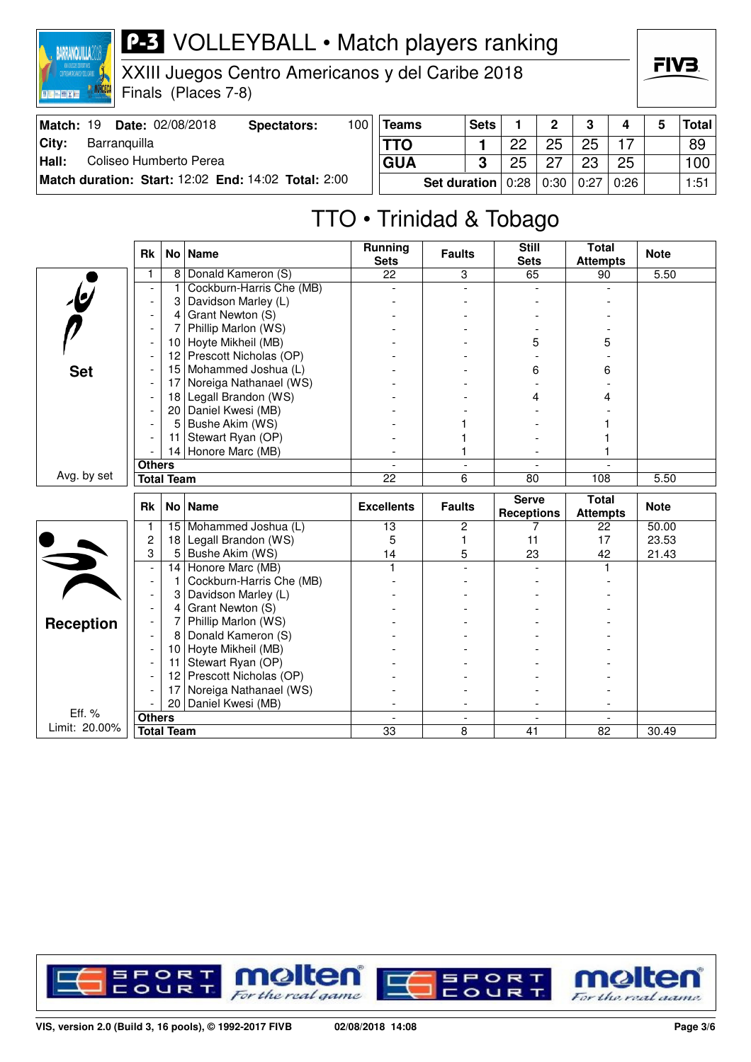

XXIII Juegos Centro Americanos y del Caribe 2018

Finals (Places 7-8)

| Match: 19 | Date: 02/08/2018                                    | Spectators: | 100 | <b>Teams</b>                               | <b>Sets</b> |    | C    | າ    | 4    | 5 | Total |
|-----------|-----------------------------------------------------|-------------|-----|--------------------------------------------|-------------|----|------|------|------|---|-------|
| City:     | Barranguilla                                        |             |     | <b>TTO</b>                                 |             | ດດ | 25   | 25   |      |   | 89    |
| Hall:     | Coliseo Humberto Perea                              |             |     | <b>GUA</b>                                 | ≏           | 25 | - 27 | 23   | 25   |   | 100   |
|           | Match duration: Start: 12:02 End: 14:02 Total: 2:00 |             |     | Set duration $\vert 0.28 \vert 0.30 \vert$ |             |    |      | 0:27 | 0:26 |   | 1:51  |

## TTO • Trinidad & Tobago

|                         | <b>Rk</b>                | No l              | <b>Name</b>              | <b>Running</b><br><b>Sets</b> | <b>Faults</b>            | <b>Still</b><br><b>Sets</b>       | <b>Total</b><br><b>Attempts</b> | <b>Note</b> |
|-------------------------|--------------------------|-------------------|--------------------------|-------------------------------|--------------------------|-----------------------------------|---------------------------------|-------------|
|                         | 1                        | 8                 | Donald Kameron (S)       | 22                            | 3                        | 65                                | 90                              | 5.50        |
| $\overline{\psi}$       | $\blacksquare$           | 1                 | Cockburn-Harris Che (MB) |                               | ÷                        |                                   |                                 |             |
|                         |                          | 3                 | Davidson Marley (L)      |                               |                          |                                   |                                 |             |
|                         | $\overline{\phantom{a}}$ | 4                 | Grant Newton (S)         |                               |                          |                                   |                                 |             |
|                         | $\overline{\phantom{a}}$ | 7                 | Phillip Marlon (WS)      |                               |                          |                                   |                                 |             |
|                         | $\overline{\phantom{a}}$ | 10                | Hoyte Mikheil (MB)       |                               |                          | 5                                 | 5                               |             |
|                         | $\overline{\phantom{a}}$ | 12                | Prescott Nicholas (OP)   |                               |                          |                                   |                                 |             |
| <b>Set</b>              | $\overline{\phantom{a}}$ | 15                | Mohammed Joshua (L)      |                               |                          | 6                                 | 6                               |             |
|                         |                          | 17                | Noreiga Nathanael (WS)   |                               |                          |                                   |                                 |             |
|                         |                          | 18                | Legall Brandon (WS)      |                               |                          | 4                                 | 4                               |             |
|                         |                          | 20                | Daniel Kwesi (MB)        |                               |                          |                                   |                                 |             |
|                         |                          | 5                 | Bushe Akim (WS)          |                               |                          |                                   |                                 |             |
|                         |                          | 11                | Stewart Ryan (OP)        |                               |                          |                                   |                                 |             |
|                         |                          |                   | 14 Honore Marc (MB)      |                               | 1                        |                                   |                                 |             |
|                         | <b>Others</b>            |                   |                          | $\overline{a}$                | $\overline{\phantom{a}}$ | $\overline{\phantom{a}}$          |                                 |             |
| Avg. by set             |                          | <b>Total Team</b> |                          | $\overline{22}$               | 6                        | 80                                | 108                             | 5.50        |
|                         |                          |                   |                          |                               |                          |                                   |                                 |             |
|                         | <b>Rk</b>                |                   | No   Name                | <b>Excellents</b>             | <b>Faults</b>            | <b>Serve</b><br><b>Receptions</b> | <b>Total</b><br><b>Attempts</b> | <b>Note</b> |
|                         | 1                        | 15 <sub>1</sub>   | Mohammed Joshua (L)      | 13                            | 2                        | 7                                 | 22                              | 50.00       |
|                         | $\overline{c}$           | 18                | Legall Brandon (WS)      | 5                             | 1                        | 11                                | 17                              | 23.53       |
|                         | 3                        | 5                 | Bushe Akim (WS)          | 14                            | 5                        | 23                                | 42                              | 21.43       |
|                         | $\overline{\phantom{a}}$ | 14                | Honore Marc (MB)         | $\mathbf{1}$                  |                          |                                   | 1                               |             |
|                         | $\overline{\phantom{a}}$ | 1                 | Cockburn-Harris Che (MB) |                               |                          |                                   |                                 |             |
|                         | $\overline{\phantom{a}}$ | 3                 | Davidson Marley (L)      |                               |                          |                                   |                                 |             |
|                         | $\blacksquare$           | $\overline{4}$    | Grant Newton (S)         |                               |                          |                                   |                                 |             |
|                         |                          | 7                 | Phillip Marlon (WS)      |                               |                          |                                   |                                 |             |
| <b>Reception</b>        |                          | 8                 | Donald Kameron (S)       |                               |                          |                                   |                                 |             |
|                         |                          | 10                | Hoyte Mikheil (MB)       |                               |                          |                                   |                                 |             |
|                         |                          | 11                | Stewart Ryan (OP)        |                               |                          |                                   |                                 |             |
|                         |                          | 12 <sub>2</sub>   | Prescott Nicholas (OP)   |                               |                          |                                   |                                 |             |
|                         |                          | 17                | Noreiga Nathanael (WS)   |                               |                          |                                   |                                 |             |
|                         |                          | 20                | Daniel Kwesi (MB)        |                               |                          |                                   |                                 |             |
| Eff. %<br>Limit: 20.00% | <b>Others</b>            | <b>Total Team</b> |                          | $\overline{a}$<br>33          | $\blacksquare$<br>8      | $\overline{a}$<br>41              | $\overline{a}$<br>82            | 30.49       |



FIV<sub>3</sub>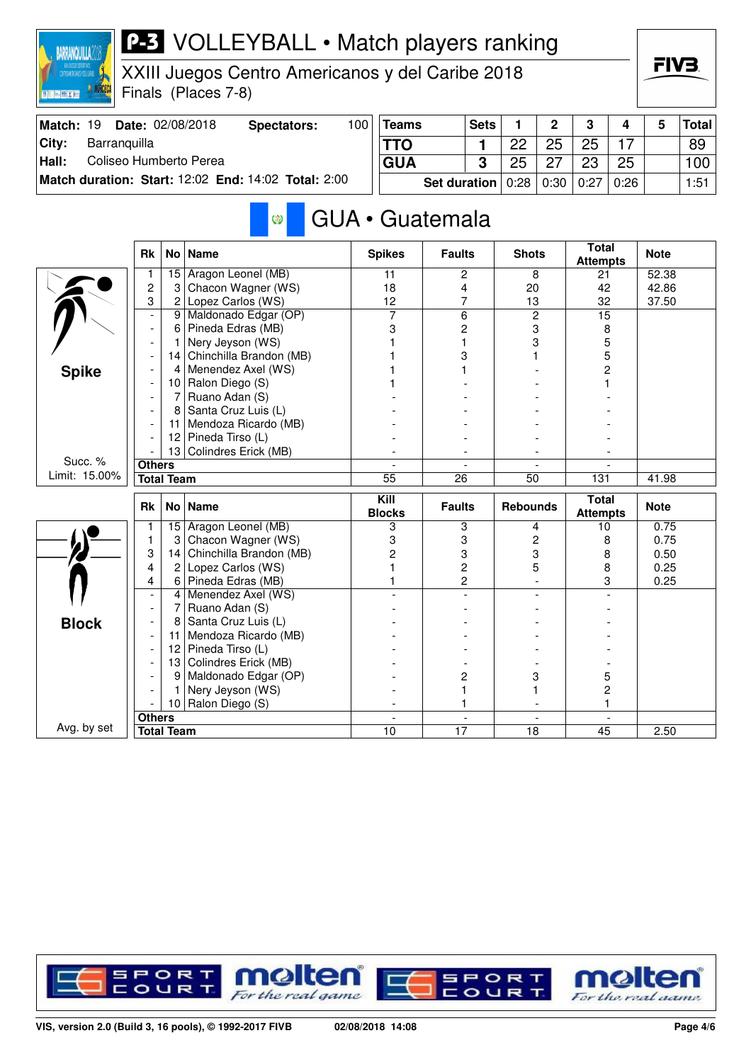

**City: Hall:**

## **P-3** VOLLEYBALL • Match players ranking

XXIII Juegos Centro Americanos y del Caribe 2018

Finals (Places 7-8)

|                  |              |                         |                                                     |     |            |                       |    | C    |      |      |   |       |
|------------------|--------------|-------------------------|-----------------------------------------------------|-----|------------|-----------------------|----|------|------|------|---|-------|
| <b>Match: 19</b> |              | <b>Date: 02/08/2018</b> | Spectators:                                         | 100 | $ T$ eams  | <b>Sets</b>           |    |      | 3    | 4    | 5 | Total |
| Citv:            | Barranguilla |                         |                                                     |     | <b>TTO</b> |                       | つつ | 25   | 25   |      |   | 89    |
| Hall:            |              | Coliseo Humberto Perea  |                                                     |     | <b>GUA</b> | 3                     | 25 |      | 23   | 25   |   | 100   |
|                  |              |                         | Match duration: Start: 12:02 End: 14:02 Total: 2:00 |     |            | Set duration $ 0:28 $ |    | 0:30 | 0:27 | 0:26 |   | 1:51  |

FIV3

### GUA • Guatemala Ø

|               | <b>Rk</b>                | No <sub>1</sub> | <b>Name</b>             | <b>Spikes</b>            | <b>Faults</b>            | <b>Shots</b>             | <b>Total</b><br><b>Attempts</b> | <b>Note</b> |
|---------------|--------------------------|-----------------|-------------------------|--------------------------|--------------------------|--------------------------|---------------------------------|-------------|
|               |                          | 15              | Aragon Leonel (MB)      | 11                       | 2                        | 8                        | 21                              | 52.38       |
|               | $\overline{c}$           | 3               | Chacon Wagner (WS)      | 18                       | 4                        | 20                       | 42                              | 42.86       |
|               | 3                        | $\mathbf{2}$    | Lopez Carlos (WS)       | 12                       | $\overline{7}$           | 13                       | 32                              | 37.50       |
|               | $\overline{a}$           | 9 <sup>1</sup>  | Maldonado Edgar (OP)    | 7                        | 6                        | $\overline{2}$           | $\overline{15}$                 |             |
|               | $\overline{a}$           | 6               | Pineda Edras (MB)       | 3                        | $\overline{c}$           | 3                        | 8                               |             |
|               |                          | 1               | Nery Jeyson (WS)        |                          | 1                        | 3                        | 5                               |             |
|               |                          | 4               | Chinchilla Brandon (MB) |                          | 3                        |                          | 5                               |             |
| <b>Spike</b>  |                          | 4               | Menendez Axel (WS)      |                          |                          |                          | 2                               |             |
|               |                          | 10 I            | Ralon Diego (S)         |                          |                          |                          |                                 |             |
|               |                          | 7               | Ruano Adan (S)          |                          |                          |                          |                                 |             |
|               |                          | 8               | Santa Cruz Luis (L)     |                          |                          |                          |                                 |             |
|               |                          | 11              | Mendoza Ricardo (MB)    |                          |                          |                          |                                 |             |
|               |                          | 12              | Pineda Tirso (L)        |                          |                          |                          |                                 |             |
|               |                          | 13              | Colindres Erick (MB)    |                          |                          |                          |                                 |             |
| Succ. %       | <b>Others</b>            |                 |                         |                          |                          |                          |                                 |             |
| Limit: 15.00% | <b>Total Team</b>        |                 |                         | 55                       | 26                       | 50                       | 131                             | 41.98       |
|               | <b>Rk</b>                | No <sub>1</sub> | <b>Name</b>             | Kill<br><b>Blocks</b>    | <b>Faults</b>            | <b>Rebounds</b>          | <b>Total</b><br><b>Attempts</b> | <b>Note</b> |
|               |                          | 15              | Aragon Leonel (MB)      | 3                        | 3                        | 4                        | 10                              | 0.75        |
|               | 1                        | 3               | Chacon Wagner (WS)      | 3                        | 3                        | $\overline{c}$           | 8                               | 0.75        |
|               | 3                        | 14              | Chinchilla Brandon (MB) | 2                        | 3                        | 3                        | 8                               | 0.50        |
|               | 4                        | $\overline{2}$  | Lopez Carlos (WS)       |                          | $\overline{c}$           | 5                        | 8                               | 0.25        |
|               | 4                        | $6 \mid$        | Pineda Edras (MB)       |                          | $\overline{2}$           |                          | 3                               | 0.25        |
|               | $\overline{\phantom{a}}$ | 4               | Menendez Axel (WS)      |                          |                          |                          |                                 |             |
|               |                          | 7               | Ruano Adan (S)          |                          |                          |                          |                                 |             |
| <b>Block</b>  |                          | 8               | Santa Cruz Luis (L)     |                          |                          |                          |                                 |             |
|               |                          | 11              | Mendoza Ricardo (MB)    |                          |                          |                          |                                 |             |
|               |                          | 12 <sup>2</sup> | Pineda Tirso (L)        |                          |                          |                          |                                 |             |
|               |                          | 13              | Colindres Erick (MB)    |                          |                          |                          |                                 |             |
|               |                          | 9               | Maldonado Edgar (OP)    |                          | $\overline{c}$           | 3                        | 5                               |             |
|               |                          |                 | Nery Jeyson (WS)        |                          | 1                        |                          | 2                               |             |
|               |                          |                 |                         |                          | 1                        | $\overline{\phantom{a}}$ |                                 |             |
|               |                          | 10              | Ralon Diego (S)         | $\overline{\phantom{a}}$ |                          |                          |                                 |             |
| Avg. by set   | <b>Others</b>            |                 |                         | $\blacksquare$           | $\overline{\phantom{a}}$ | $\overline{\phantom{a}}$ | $\blacksquare$                  |             |

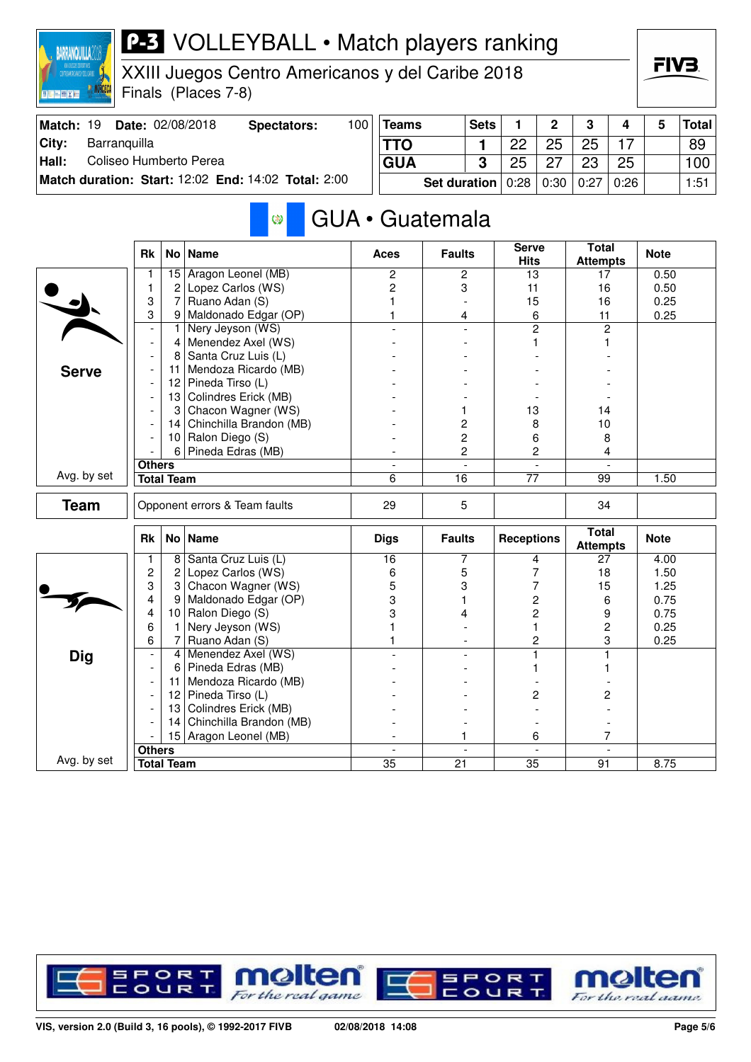